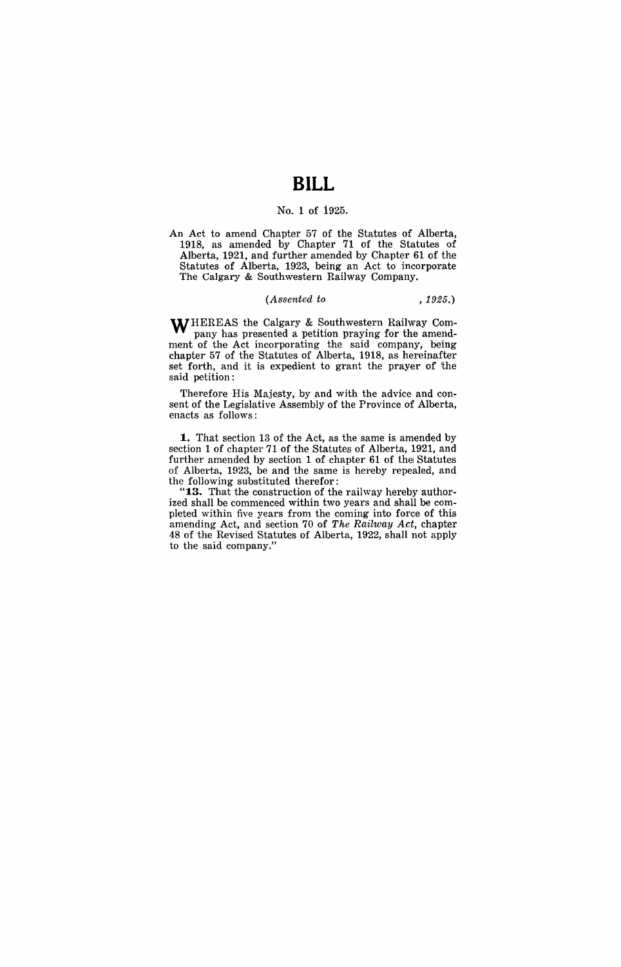# **BILL**

#### No. 1 of 1925.

An Act to amend Chapter 57 of the Statutes of Alberta, 1918, as amended by Chapter 71 of the Statutes of Alberta, 1921, and further amended by Chapter 61 of the Statutes of Alberta, 1923, being an Act to incorporate The Calgary & Southwestern Railway Company.

#### *(Assented to* ,1925.)

WHEREAS the Calgary & Southwestern Railway Company has presented a petition praying for the amendment of the Act incorporating the said company, being chapter 57 of the Statutes of Alberta, 1918, as hereinafter set forth, and it is expedient to grant the prayer of 'the said petition:

Therefore His Majesty, by and with the advice and consent of the Legislative Assembly of the Province of Alberta, enacts as follows:

**1..** That section 13 of the Act, as the same is amended by section 1 of chapter 71 of the Statutes of Alberta, 1921, and further amended by section 1 of chapter 61 of the Statutes of Alberta, 1923, be and the same is hereby repealed, and the following substituted therefor:

" $13.$  That the construction of the railway hereby authorized shall be commenced within two years and shall be completed within five years from the coming into force of this amending Act, and section 70 of *The Railway Act,* chapter 48 of the Revised Statutes of Alberta, 1922, shall not apply to the said company."